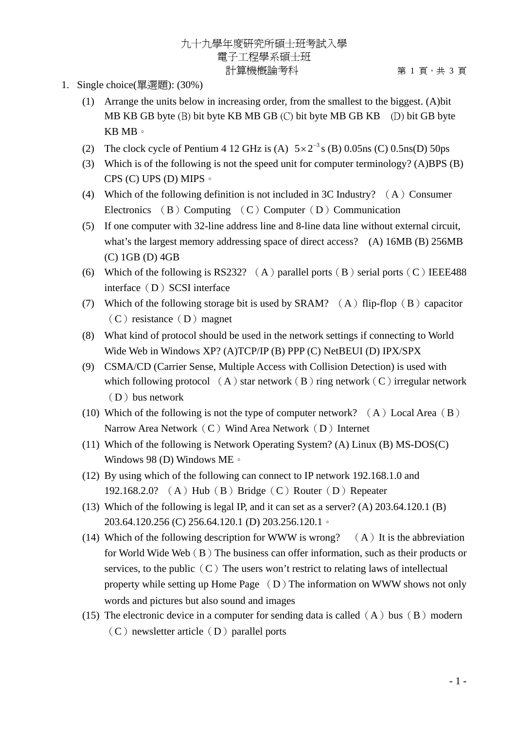- 1. Single choice(單選題): (30%)
	- (1) Arrange the units below in increasing order, from the smallest to the biggest. (A)bit MB KB GB byte (B) bit byte KB MB GB (C) bit byte MB GB KB (D) bit GB byte KB MB。
	- (2) The clock cycle of Pentium 4 12 GHz is (A)  $5 \times 2^{-3}$  s (B) 0.05ns (C) 0.5ns(D) 50ps
	- (3) Which is of the following is not the speed unit for computer terminology? (A)BPS (B) CPS (C) UPS (D) MIPS。
	- (4) Which of the following definition is not included in 3C Industry?  $(A)$  Consumer Electronics (B) Computing (C) Computer (D) Communication
	- (5) If one computer with 32-line address line and 8-line data line without external circuit, what's the largest memory addressing space of direct access? (A) 16MB (B) 256MB (C) 1GB (D) 4GB
	- (6) Which of the following is RS232? (A) parallel ports (B) serial ports (C) IEEE488 interface (D) SCSI interface
	- (7) Which of the following storage bit is used by SRAM?  $(A)$  flip-flop  $(B)$  capacitor  $(C)$  resistance  $(D)$  magnet
	- (8) What kind of protocol should be used in the network settings if connecting to World Wide Web in Windows XP? (A)TCP/IP (B) PPP (C) NetBEUI (D) IPX/SPX
	- (9) CSMA/CD (Carrier Sense, Multiple Access with Collision Detection) is used with which following protocol  $(A)$  star network  $(B)$  ring network  $(C)$  irregular network  $(D)$  bus network
	- (10) Which of the following is not the type of computer network?  $(A)$  Local Area  $(B)$ Narrow Area Network $(C)$  Wind Area Network $(D)$  Internet
	- (11) Which of the following is Network Operating System? (A) Linux (B) MS-DOS(C) Windows 98 (D) Windows ME。
	- (12) By using which of the following can connect to IP network 192.168.1.0 and 192.168.2.0? (A) Hub(B) Bridge(C) Router(D) Repeater
	- (13) Which of the following is legal IP, and it can set as a server? (A) 203.64.120.1 (B) 203.64.120.256 (C) 256.64.120.1 (D) 203.256.120.1。
	- (14) Which of the following description for WWW is wrong?  $(A)$  It is the abbreviation for World Wide Web  $(B)$  The business can offer information, such as their products or services, to the public  $(C)$  The users won't restrict to relating laws of intellectual property while setting up Home Page  $(D)$  The information on WWW shows not only words and pictures but also sound and images
	- (15) The electronic device in a computer for sending data is called  $(A)$  bus  $(B)$  modern  $(C)$  newsletter article  $(D)$  parallel ports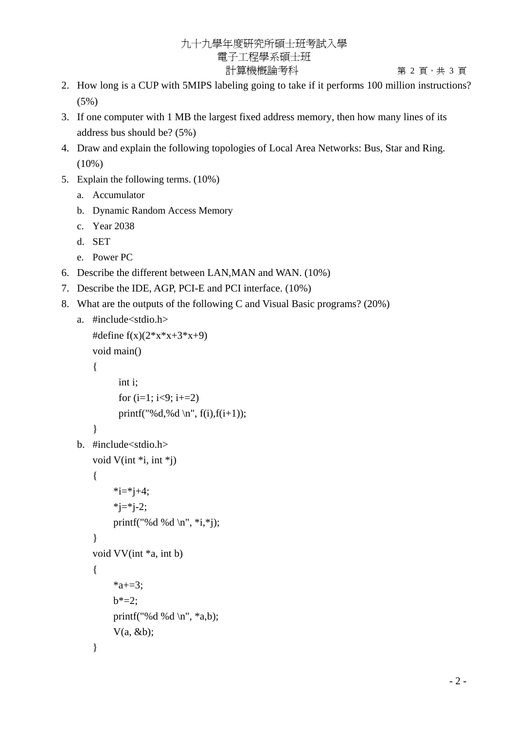## 九十九學年度研究所碩士班考試入學 電子工程學系碩士班 計算機概論考科 第 2 頁 · 共 3 頁

- 2. How long is a CUP with 5MIPS labeling going to take if it performs 100 million instructions? (5%)
- 3. If one computer with 1 MB the largest fixed address memory, then how many lines of its address bus should be? (5%)
- 4. Draw and explain the following topologies of Local Area Networks: Bus, Star and Ring. (10%)
- 5. Explain the following terms. (10%)
	- a. Accumulator
	- b. Dynamic Random Access Memory
	- c. Year 2038
	- d. SET
	- e. Power PC
- 6. Describe the different between LAN,MAN and WAN. (10%)
- 7. Describe the IDE, AGP, PCI-E and PCI interface. (10%)
- 8. What are the outputs of the following C and Visual Basic programs? (20%)

```
a. #include<stdio.h>
```

```
#define f(x)(2*x*x+3*x+9)void main() 
    { 
           int i; 
          for (i=1; i<9; i+=2)printf("%d,%d \n", f(i),f(i+1));
    } 
b. #include<stdio.h> 
   void V(int *i, int *j) 
    { 
         *i=*j+4;
         *j=*j-2;
         printf("%d %d \n", *i,*j);
    } 
    void VV(int *a, int b) 
    { 
         *a+=3;
         b^* = 2;
         printf("%d %d \n", *a,b);
         V(a, \&b);}
```